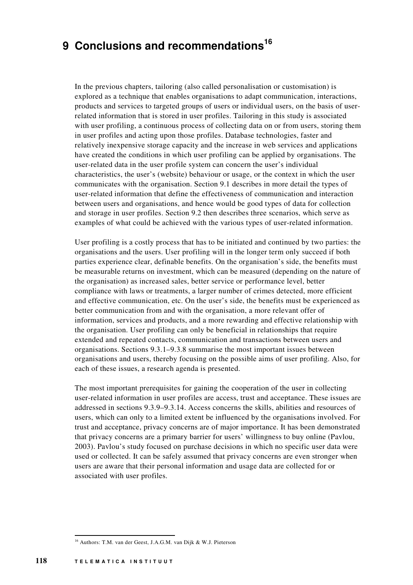# **9 Conclusions and recommendations 16**

In the previous chapters, tailoring (also called personalisation or customisation) is explored as a technique that enables organisations to adapt communication, interactions, products and services to targeted groups of users or individual users, on the basis of userrelated information that is stored in user profiles. Tailoring in this study is associated with user profiling, a continuous process of collecting data on or from users, storing them in user profiles and acting upon those profiles. Database technologies, faster and relatively inexpensive storage capacity and the increase in web services and applications have created the conditions in which user profiling can be applied by organisations. The user-related data in the user profile system can concern the user's individual characteristics, the user's (website) behaviour or usage, or the context in which the user communicates with the organisation. Section 9.1 describes in more detail the types of user-related information that define the effectiveness of communication and interaction between users and organisations, and hence would be good types of data for collection and storage in user profiles. Section 9.2 then describes three scenarios, which serve as examples of what could be achieved with the various types of user-related information.

User profiling is a costly process that has to be initiated and continued by two parties: the organisations and the users. User profiling will in the longer term only succeed if both parties experience clear, definable benefits. On the organisation's side, the benefits must be measurable returns on investment, which can be measured (depending on the nature of the organisation) as increased sales, better service or performance level, better compliance with laws or treatments, a larger number of crimes detected, more efficient and effective communication, etc. On the user's side, the benefits must be experienced as better communication from and with the organisation, a more relevant offer of information, services and products, and a more rewarding and effective relationship with the organisation. User profiling can only be beneficial in relationships that require extended and repeated contacts, communication and transactions between users and organisations. Sections 9.3.1–9.3.8 summarise the most important issues between organisations and users, thereby focusing on the possible aims of user profiling. Also, for each of these issues, a research agenda is presented.

The most important prerequisites for gaining the cooperation of the user in collecting user-related information in user profiles are access, trust and acceptance. These issues are addressed in sections 9.3.9–9.3.14. Access concerns the skills, abilities and resources of users, which can only to a limited extent be influenced by the organisations involved. For trust and acceptance, privacy concerns are of major importance. It has been demonstrated that privacy concerns are a primary barrier for users' willingness to buy online (Pavlou, 2003). Pavlou's study focused on purchase decisions in which no specific user data were used or collected. It can be safely assumed that privacy concerns are even stronger when users are aware that their personal information and usage data are collected for or associated with user profiles.

<sup>&</sup>lt;sup>16</sup> Authors: T.M. van der Geest, J.A.G.M. van Dijk & W.J. Pieterson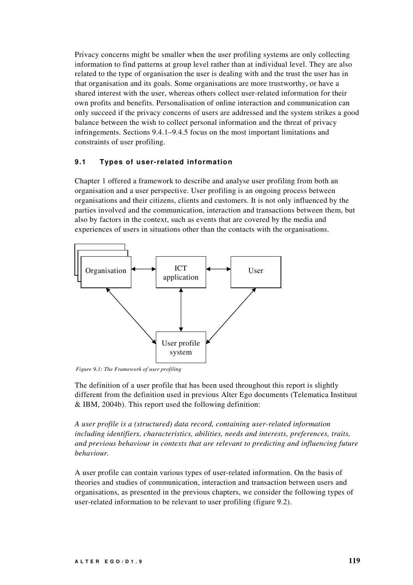Privacy concerns might be smaller when the user profiling systems are only collecting information to find patterns at group level rather than at individual level. They are also related to the type of organisation the user is dealing with and the trust the user has in that organisation and its goals. Some organisations are more trustworthy, or have a shared interest with the user, whereas others collect user-related information for their own profits and benefits. Personalisation of online interaction and communication can only succeed if the privacy concerns of users are addressed and the system strikes a good balance between the wish to collect personal information and the threat of privacy infringements. Sections 9.4.1–9.4.5 focus on the most important limitations and constraints of user profiling.

## **9.1 Types of user-related information**

Chapter 1 offered a framework to describe and analyse user profiling from both an organisation and a user perspective. User profiling is an ongoing process between organisations and their citizens, clients and customers. It is not only influenced by the parties involved and the communication, interaction and transactions between them, but also by factors in the context, such as events that are covered by the media and experiences of users in situations other than the contacts with the organisations.



*Figure 9.1: The Framework of user profiling*

The definition of a user profile that has been used throughout this report is slightly different from the definition used in previous Alter Ego documents (Telematica Instituut & IBM, 2004b). This report used the following definition:

*A user profile is a (structured) data record, containing user-related information including identifiers, characteristics, abilities, needs and interests, preferences, traits, and previous behaviour in contexts that are relevant to predicting and influencing future behaviour.*

A user profile can contain various types of user-related information. On the basis of theories and studies of communication, interaction and transaction between users and organisations, as presented in the previous chapters, we consider the following types of user-related information to be relevant to user profiling (figure 9.2).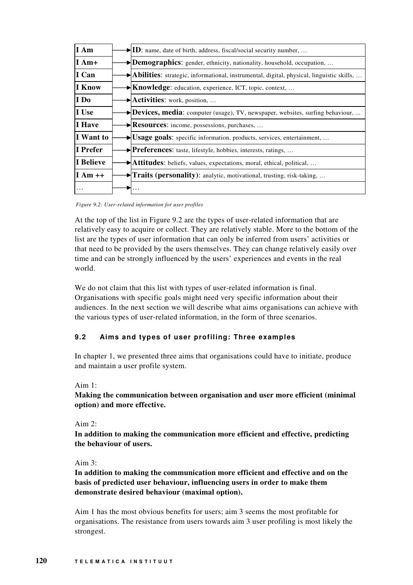| I Am          | $\blacktriangleright$ ID: name, date of birth, address, fiscal/social security number,                         |
|---------------|----------------------------------------------------------------------------------------------------------------|
| $I$ Am+       | $\rightarrow$ <b>Demographics:</b> gender, ethnicity, nationality, household, occupation,                      |
| $\vert$ I Can | $\blacktriangleright$ Abilities: strategic, informational, instrumental, digital, physical, linguistic skills, |
| I Know        | $\blacktriangleright$ <b>Knowledge:</b> education, experience, ICT, topic, context,                            |
| I Do          | $\blacktriangleright$ <b>Activities:</b> work, position,                                                       |
| I Use         | Devices, media: computer (usage), TV, newspaper, websites, surfing behaviour,                                  |
| I Have        | $\blacktriangleright$ <b>Resources:</b> income, possessions, purchases,                                        |
| I Want to     | $\blacktriangleright$ Usage goals: specific information, products, services, entertainment,                    |
| I Prefer      | Preferences: taste, lifestyle, hobbies, interests, ratings,                                                    |
| I Believe     | $\blacktriangleright$ <b>Attitudes:</b> beliefs, values, expectations, moral, ethical, political,              |
| $I Am++$      | $\blacktriangleright$ <b>Traits (personality):</b> analytic, motivational, trusting, risk-taking,              |
|               |                                                                                                                |

*Figure 9.2: User-related information for user profiles*

At the top of the list in Figure 9.2 are the types of user-related information that are relatively easy to acquire or collect. They are relatively stable. More to the bottom of the list are the types of user information that can only be inferred from users' activities or that need to be provided by the users themselves. They can change relatively easily over time and can be strongly influenced by the users' experiences and events in the real world.

We do not claim that this list with types of user-related information is final. Organisations with specific goals might need very specific information about their audiences. In the next section we will describe what aims organisations can achieve with the various types of user-related information, in the form of three scenarios.

# **9.2 Aims and types of user profiling: Three examples**

In chapter 1, we presented three aims that organisations could have to initiate, produce and maintain a user profile system.

# Aim  $1$ <sup>.</sup>

# **Making the communication between organisation and user more efficient (minimal option) and more effective.**

# Aim  $2$ .

**In addition to making the communication more efficient and effective, predicting the behaviour of users.**

# Aim 3:

# **In addition to making the communication more efficient and effective and on the basis of predicted user behaviour, influencing users in order to make them demonstrate desired behaviour (maximal option).**

Aim 1 has the most obvious benefits for users; aim 3 seems the most profitable for organisations. The resistance from users towards aim 3 user profiling is most likely the strongest.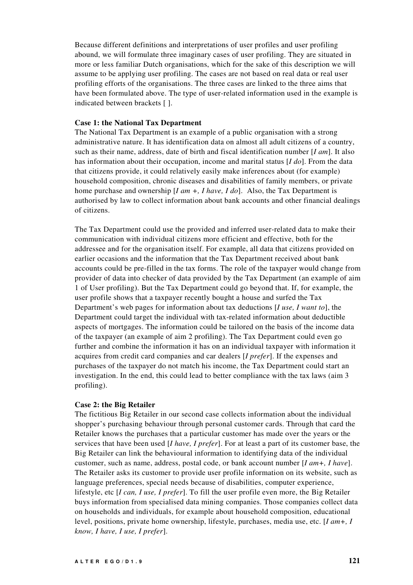Because different definitions and interpretations of user profiles and user profiling abound, we will formulate three imaginary cases of user profiling. They are situated in more or less familiar Dutch organisations, which for the sake of this description we will assume to be applying user profiling. The cases are not based on real data or real user profiling efforts of the organisations. The three cases are linked to the three aims that have been formulated above. The type of user-related information used in the example is indicated between brackets [ ].

#### **Case 1: the National Tax Department**

The National Tax Department is an example of a public organisation with a strong administrative nature. It has identification data on almost all adult citizens of a country, such as their name, address, date of birth and fiscal identification number [*I am*]. It also has information about their occupation, income and marital status [*I do*]. From the data that citizens provide, it could relatively easily make inferences about (for example) household composition, chronic diseases and disabilities of family members, or private home purchase and ownership [*I am +, I have, I do*]. Also, the Tax Department is authorised by law to collect information about bank accounts and other financial dealings of citizens.

The Tax Department could use the provided and inferred user-related data to make their communication with individual citizens more efficient and effective, both for the addressee and for the organisation itself. For example, all data that citizens provided on earlier occasions and the information that the Tax Department received about bank accounts could be pre-filled in the tax forms. The role of the taxpayer would change from provider of data into checker of data provided by the Tax Department (an example of aim 1 of User profiling). But the Tax Department could go beyond that. If, for example, the user profile shows that a taxpayer recently bought a house and surfed the Tax Department's web pages for information about tax deductions [*I use, I want to*], the Department could target the individual with tax-related information about deductible aspects of mortgages. The information could be tailored on the basis of the income data of the taxpayer (an example of aim 2 profiling). The Tax Department could even go further and combine the information it has on an individual taxpayer with information it acquires from credit card companies and car dealers [*I prefer*]. If the expenses and purchases of the taxpayer do not match his income, the Tax Department could start an investigation. In the end, this could lead to better compliance with the tax laws (aim 3 profiling).

#### **Case 2: the Big Retailer**

The fictitious Big Retailer in our second case collects information about the individual shopper's purchasing behaviour through personal customer cards. Through that card the Retailer knows the purchases that a particular customer has made over the years or the services that have been used [*I have, I prefer*]. For at least a part of its customer base, the Big Retailer can link the behavioural information to identifying data of the individual customer, such as name, address, postal code, or bank account number [*I am+, I have*]. The Retailer asks its customer to provide user profile information on its website, such as language preferences, special needs because of disabilities, computer experience, lifestyle, etc [*I can, I use, I prefer*]. To fill the user profile even more, the Big Retailer buys information from specialised data mining companies. Those companies collect data on households and individuals, for example about household composition, educational level, positions, private home ownership, lifestyle, purchases, media use, etc. [*I am+, I know, I have, I use, I prefer*].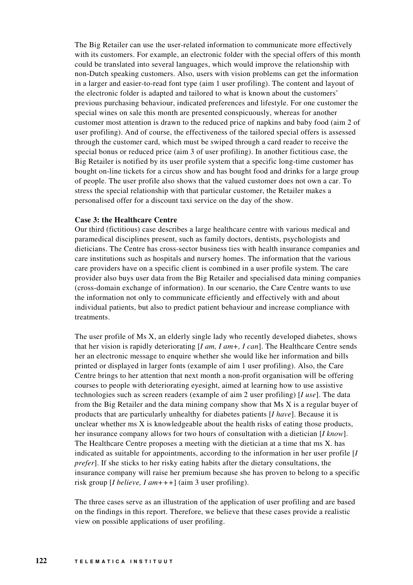The Big Retailer can use the user-related information to communicate more effectively with its customers. For example, an electronic folder with the special offers of this month could be translated into several languages, which would improve the relationship with non-Dutch speaking customers. Also, users with vision problems can get the information in a larger and easier-to-read font type (aim 1 user profiling). The content and layout of the electronic folder is adapted and tailored to what is known about the customers' previous purchasing behaviour, indicated preferences and lifestyle. For one customer the special wines on sale this month are presented conspicuously, whereas for another customer most attention is drawn to the reduced price of napkins and baby food (aim 2 of user profiling). And of course, the effectiveness of the tailored special offers is assessed through the customer card, which must be swiped through a card reader to receive the special bonus or reduced price (aim 3 of user profiling). In another fictitious case, the Big Retailer is notified by its user profile system that a specific long-time customer has bought on-line tickets for a circus show and has bought food and drinks for a large group of people. The user profile also shows that the valued customer does not own a car. To stress the special relationship with that particular customer, the Retailer makes a personalised offer for a discount taxi service on the day of the show.

#### **Case 3: the Healthcare Centre**

Our third (fictitious) case describes a large healthcare centre with various medical and paramedical disciplines present, such as family doctors, dentists, psychologists and dieticians. The Centre has cross-sector business ties with health insurance companies and care institutions such as hospitals and nursery homes. The information that the various care providers have on a specific client is combined in a user profile system. The care provider also buys user data from the Big Retailer and specialised data mining companies (cross-domain exchange of information). In our scenario, the Care Centre wants to use the information not only to communicate efficiently and effectively with and about individual patients, but also to predict patient behaviour and increase compliance with treatments.

The user profile of Ms X, an elderly single lady who recently developed diabetes, shows that her vision is rapidly deteriorating [*I am, I am+, I can*]. The Healthcare Centre sends her an electronic message to enquire whether she would like her information and bills printed or displayed in larger fonts (example of aim 1 user profiling). Also, the Care Centre brings to her attention that next month a non-profit organisation will be offering courses to people with deteriorating eyesight, aimed at learning how to use assistive technologies such as screen readers (example of aim 2 user profiling) [*I use*]. The data from the Big Retailer and the data mining company show that Ms X is a regular buyer of products that are particularly unhealthy for diabetes patients [*I have*]. Because it is unclear whether ms  $X$  is knowledgeable about the health risks of eating those products, her insurance company allows for two hours of consultation with a dietician [*I know*]. The Healthcare Centre proposes a meeting with the dietician at a time that ms X. has indicated as suitable for appointments, according to the information in her user profile [*I prefer*]. If she sticks to her risky eating habits after the dietary consultations, the insurance company will raise her premium because she has proven to belong to a specific risk group [*I believe, I am+++*] (aim 3 user profiling).

The three cases serve as an illustration of the application of user profiling and are based on the findings in this report. Therefore, we believe that these cases provide a realistic view on possible applications of user profiling.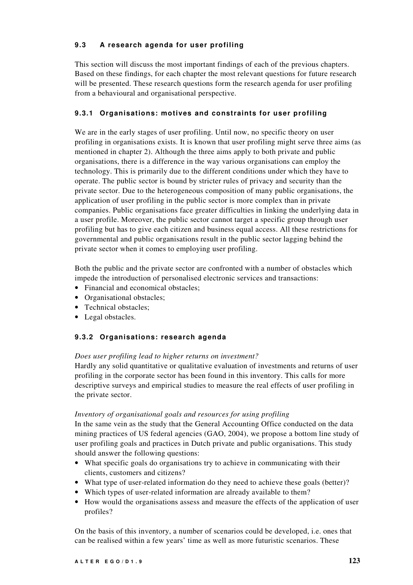# **9.3 A research agenda for user profiling**

This section will discuss the most important findings of each of the previous chapters. Based on these findings, for each chapter the most relevant questions for future research will be presented. These research questions form the research agenda for user profiling from a behavioural and organisational perspective.

# **9.3.1 Organisations: motives and constraints for user profiling**

We are in the early stages of user profiling. Until now, no specific theory on user profiling in organisations exists. It is known that user profiling might serve three aims (as mentioned in chapter 2). Although the three aims apply to both private and public organisations, there is a difference in the way various organisations can employ the technology. This is primarily due to the different conditions under which they have to operate. The public sector is bound by stricter rules of privacy and security than the private sector. Due to the heterogeneous composition of many public organisations, the application of user profiling in the public sector is more complex than in private companies. Public organisations face greater difficulties in linking the underlying data in a user profile. Moreover, the public sector cannot target a specific group through user profiling but has to give each citizen and business equal access. All these restrictions for governmental and public organisations result in the public sector lagging behind the private sector when it comes to employing user profiling.

Both the public and the private sector are confronted with a number of obstacles which impede the introduction of personalised electronic services and transactions:

- Financial and economical obstacles;
- Organisational obstacles;
- Technical obstacles;
- Legal obstacles.

# **9.3.2 Organisations: research agenda**

## *Does user profiling lead to higher returns on investment?*

Hardly any solid quantitative or qualitative evaluation of investments and returns of user profiling in the corporate sector has been found in this inventory. This calls for more descriptive surveys and empirical studies to measure the real effects of user profiling in the private sector.

## *Inventory of organisational goals and resources for using profiling*

In the same vein as the study that the General Accounting Office conducted on the data mining practices of US federal agencies (GAO, 2004), we propose a bottom line study of user profiling goals and practices in Dutch private and public organisations. This study should answer the following questions:

- What specific goals do organisations try to achieve in communicating with their clients, customers and citizens?
- What type of user-related information do they need to achieve these goals (better)?
- Which types of user-related information are already available to them?
- How would the organisations assess and measure the effects of the application of user profiles?

On the basis of this inventory, a number of scenarios could be developed, i.e. ones that can be realised within a few years' time as well as more futuristic scenarios. These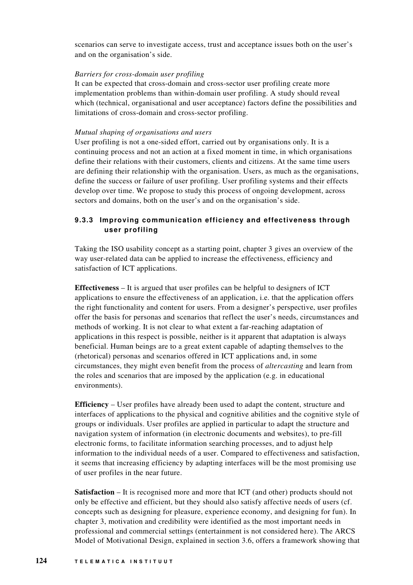scenarios can serve to investigate access, trust and acceptance issues both on the user's and on the organisation's side.

## *Barriers for cross-domain user profiling*

It can be expected that cross-domain and cross-sector user profiling create more implementation problems than within-domain user profiling. A study should reveal which (technical, organisational and user acceptance) factors define the possibilities and limitations of cross-domain and cross-sector profiling.

### *Mutual shaping of organisations and users*

User profiling is not a one-sided effort, carried out by organisations only. It is a continuing process and not an action at a fixed moment in time, in which organisations define their relations with their customers, clients and citizens. At the same time users are defining their relationship with the organisation. Users, as much as the organisations, define the success or failure of user profiling. User profiling systems and their effects develop over time. We propose to study this process of ongoing development, across sectors and domains, both on the user's and on the organisation's side.

# **9.3.3 Improving communication efficiency and effectiveness through user profiling**

Taking the ISO usability concept as a starting point, chapter 3 gives an overview of the way user-related data can be applied to increase the effectiveness, efficiency and satisfaction of ICT applications.

**Effectiveness** – It is argued that user profiles can be helpful to designers of ICT applications to ensure the effectiveness of an application, i.e. that the application offers the right functionality and content for users. From a designer's perspective, user profiles offer the basis for personas and scenarios that reflect the user's needs, circumstances and methods of working. It is not clear to what extent a far-reaching adaptation of applications in this respect is possible, neither is it apparent that adaptation is always beneficial. Human beings are to a great extent capable of adapting themselves to the (rhetorical) personas and scenarios offered in ICT applications and, in some circumstances, they might even benefit from the process of *altercasting* and learn from the roles and scenarios that are imposed by the application (e.g. in educational environments).

**Efficiency** – User profiles have already been used to adapt the content, structure and interfaces of applications to the physical and cognitive abilities and the cognitive style of groups or individuals. User profiles are applied in particular to adapt the structure and navigation system of information (in electronic documents and websites), to pre-fill electronic forms, to facilitate information searching processes, and to adjust help information to the individual needs of a user. Compared to effectiveness and satisfaction, it seems that increasing efficiency by adapting interfaces will be the most promising use of user profiles in the near future.

**Satisfaction** – It is recognised more and more that ICT (and other) products should not only be effective and efficient, but they should also satisfy affective needs of users (cf. concepts such as designing for pleasure, experience economy, and designing for fun). In chapter 3, motivation and credibility were identified as the most important needs in professional and commercial settings (entertainment is not considered here). The ARCS Model of Motivational Design, explained in section 3.6, offers a framework showing that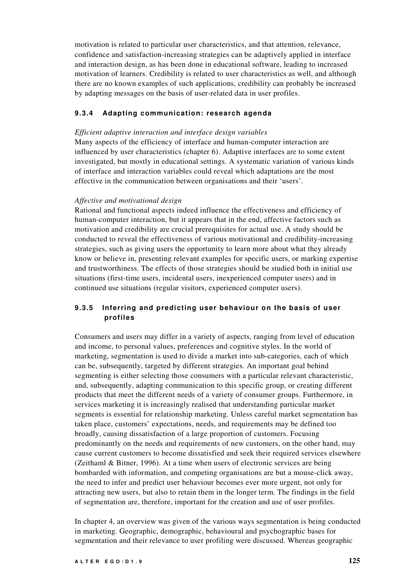motivation is related to particular user characteristics, and that attention, relevance, confidence and satisfaction-increasing strategies can be adaptively applied in interface and interaction design, as has been done in educational software, leading to increased motivation of learners. Credibility is related to user characteristics as well, and although there are no known examples of such applications, credibility can probably be increased by adapting messages on the basis of user-related data in user profiles.

## **9.3.4 Adapting communication: research agenda**

## *Efficient adaptive interaction and interface design variables*

Many aspects of the efficiency of interface and human-computer interaction are influenced by user characteristics (chapter 6). Adaptive interfaces are to some extent investigated, but mostly in educational settings. A systematic variation of various kinds of interface and interaction variables could reveal which adaptations are the most effective in the communication between organisations and their 'users'.

## *Affective and motivational design*

Rational and functional aspects indeed influence the effectiveness and efficiency of human-computer interaction, but it appears that in the end, affective factors such as motivation and credibility are crucial prerequisites for actual use. A study should be conducted to reveal the effectiveness of various motivational and credibility-increasing strategies, such as giving users the opportunity to learn more about what they already know or believe in, presenting relevant examples for specific users, or marking expertise and trustworthiness. The effects of those strategies should be studied both in initial use situations (first-time users, incidental users, inexperienced computer users) and in continued use situations (regular visitors, experienced computer users).

# **9.3.5 Inferring and predicting user behaviour on the basis of user profiles**

Consumers and users may differ in a variety of aspects, ranging from level of education and income, to personal values, preferences and cognitive styles. In the world of marketing, segmentation is used to divide a market into sub-categories, each of which can be, subsequently, targeted by different strategies. An important goal behind segmenting is either selecting those consumers with a particular relevant characteristic, and, subsequently, adapting communication to this specific group, or creating different products that meet the different needs of a variety of consumer groups. Furthermore, in services marketing it is increasingly realised that understanding particular market segments is essential for relationship marketing. Unless careful market segmentation has taken place, customers' expectations, needs, and requirements may be defined too broadly, causing dissatisfaction of a large proportion of customers. Focusing predominantly on the needs and requirements of new customers, on the other hand, may cause current customers to become dissatisfied and seek their required services elsewhere (Zeithaml & Bitner, 1996). At a time when users of electronic services are being bombarded with information, and competing organisations are but a mouse-click away, the need to infer and predict user behaviour becomes ever more urgent, not only for attracting new users, but also to retain them in the longer term. The findings in the field of segmentation are, therefore, important for the creation and use of user profiles.

In chapter 4, an overview was given of the various ways segmentation is being conducted in marketing. Geographic, demographic, behavioural and psychographic bases for segmentation and their relevance to user profiling were discussed. Whereas geographic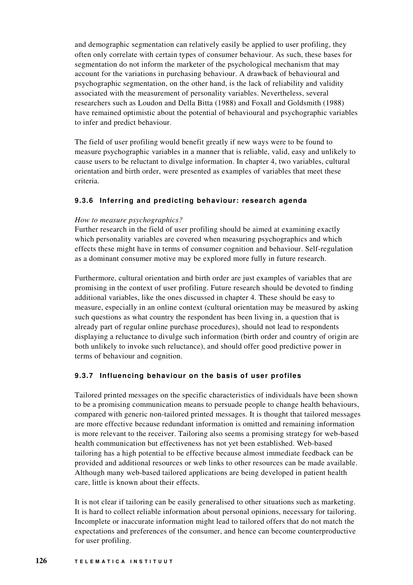and demographic segmentation can relatively easily be applied to user profiling, they often only correlate with certain types of consumer behaviour. As such, these bases for segmentation do not inform the marketer of the psychological mechanism that may account for the variations in purchasing behaviour. A drawback of behavioural and psychographic segmentation, on the other hand, is the lack of reliability and validity associated with the measurement of personality variables. Nevertheless, several researchers such as Loudon and Della Bitta (1988) and Foxall and Goldsmith (1988) have remained optimistic about the potential of behavioural and psychographic variables to infer and predict behaviour.

The field of user profiling would benefit greatly if new ways were to be found to measure psychographic variables in a manner that is reliable, valid, easy and unlikely to cause users to be reluctant to divulge information. In chapter 4, two variables, cultural orientation and birth order, were presented as examples of variables that meet these criteria.

# **9.3.6 Inferring and predicting behaviour: research agenda**

## *How to measure psychographics?*

Further research in the field of user profiling should be aimed at examining exactly which personality variables are covered when measuring psychographics and which effects these might have in terms of consumer cognition and behaviour. Self-regulation as a dominant consumer motive may be explored more fully in future research.

Furthermore, cultural orientation and birth order are just examples of variables that are promising in the context of user profiling. Future research should be devoted to finding additional variables, like the ones discussed in chapter 4. These should be easy to measure, especially in an online context (cultural orientation may be measured by asking such questions as what country the respondent has been living in, a question that is already part of regular online purchase procedures), should not lead to respondents displaying a reluctance to divulge such information (birth order and country of origin are both unlikely to invoke such reluctance), and should offer good predictive power in terms of behaviour and cognition.

## **9.3.7 Influencing behaviour on the basis of user profiles**

Tailored printed messages on the specific characteristics of individuals have been shown to be a promising communication means to persuade people to change health behaviours, compared with generic non-tailored printed messages. It is thought that tailored messages are more effective because redundant information is omitted and remaining information is more relevant to the receiver. Tailoring also seems a promising strategy for web-based health communication but effectiveness has not yet been established. Web-based tailoring has a high potential to be effective because almost immediate feedback can be provided and additional resources or web links to other resources can be made available. Although many web-based tailored applications are being developed in patient health care, little is known about their effects.

It is not clear if tailoring can be easily generalised to other situations such as marketing. It is hard to collect reliable information about personal opinions, necessary for tailoring. Incomplete or inaccurate information might lead to tailored offers that do not match the expectations and preferences of the consumer, and hence can become counterproductive for user profiling.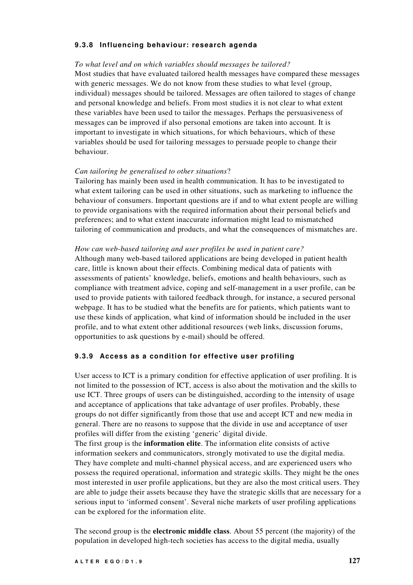## **9.3.8 Influencing behaviour: research agenda**

#### *To what level and on which variables should messages be tailored?*

Most studies that have evaluated tailored health messages have compared these messages with generic messages. We do not know from these studies to what level (group, individual) messages should be tailored. Messages are often tailored to stages of change and personal knowledge and beliefs. From most studies it is not clear to what extent these variables have been used to tailor the messages. Perhaps the persuasiveness of messages can be improved if also personal emotions are taken into account. It is important to investigate in which situations, for which behaviours, which of these variables should be used for tailoring messages to persuade people to change their behaviour.

#### *Can tailoring be generalised to other situations*?

Tailoring has mainly been used in health communication. It has to be investigated to what extent tailoring can be used in other situations, such as marketing to influence the behaviour of consumers. Important questions are if and to what extent people are willing to provide organisations with the required information about their personal beliefs and preferences; and to what extent inaccurate information might lead to mismatched tailoring of communication and products, and what the consequences of mismatches are.

#### *How can web-based tailoring and user profiles be used in patient care?*

Although many web-based tailored applications are being developed in patient health care, little is known about their effects. Combining medical data of patients with assessments of patients' knowledge, beliefs, emotions and health behaviours, such as compliance with treatment advice, coping and self-management in a user profile, can be used to provide patients with tailored feedback through, for instance, a secured personal webpage. It has to be studied what the benefits are for patients, which patients want to use these kinds of application, what kind of information should be included in the user profile, and to what extent other additional resources (web links, discussion forums, opportunities to ask questions by e-mail) should be offered.

## **9.3.9 Access as a condition for effective user profiling**

User access to ICT is a primary condition for effective application of user profiling. It is not limited to the possession of ICT, access is also about the motivation and the skills to use ICT. Three groups of users can be distinguished, according to the intensity of usage and acceptance of applications that take advantage of user profiles. Probably, these groups do not differ significantly from those that use and accept ICT and new media in general. There are no reasons to suppose that the divide in use and acceptance of user profiles will differ from the existing 'generic' digital divide.

The first group is the **information elite**. The information elite consists of active information seekers and communicators, strongly motivated to use the digital media. They have complete and multi-channel physical access, and are experienced users who possess the required operational, information and strategic skills. They might be the ones most interested in user profile applications, but they are also the most critical users. They are able to judge their assets because they have the strategic skills that are necessary for a serious input to 'informed consent'. Several niche markets of user profiling applications can be explored for the information elite.

The second group is the **electronic middle class**. About 55 percent (the majority) of the population in developed high-tech societies has access to the digital media, usually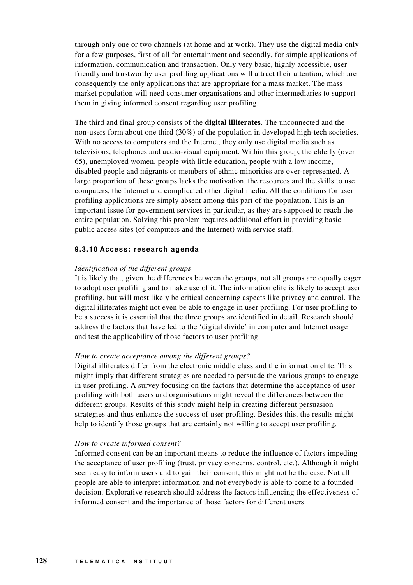through only one or two channels (at home and at work). They use the digital media only for a few purposes, first of all for entertainment and secondly, for simple applications of information, communication and transaction. Only very basic, highly accessible, user friendly and trustworthy user profiling applications will attract their attention, which are consequently the only applications that are appropriate for a mass market. The mass market population will need consumer organisations and other intermediaries to support them in giving informed consent regarding user profiling.

The third and final group consists of the **digital illiterates**. The unconnected and the non-users form about one third (30%) of the population in developed high-tech societies. With no access to computers and the Internet, they only use digital media such as televisions, telephones and audio-visual equipment. Within this group, the elderly (over 65), unemployed women, people with little education, people with a low income, disabled people and migrants or members of ethnic minorities are over-represented. A large proportion of these groups lacks the motivation, the resources and the skills to use computers, the Internet and complicated other digital media. All the conditions for user profiling applications are simply absent among this part of the population. This is an important issue for government services in particular, as they are supposed to reach the entire population. Solving this problem requires additional effort in providing basic public access sites (of computers and the Internet) with service staff.

## **9.3.10 Access: research agenda**

#### *Identification of the different groups*

It is likely that, given the differences between the groups, not all groups are equally eager to adopt user profiling and to make use of it. The information elite is likely to accept user profiling, but will most likely be critical concerning aspects like privacy and control. The digital illiterates might not even be able to engage in user profiling. For user profiling to be a success it is essential that the three groups are identified in detail. Research should address the factors that have led to the 'digital divide' in computer and Internet usage and test the applicability of those factors to user profiling.

#### *How to create acceptance among the different groups?*

Digital illiterates differ from the electronic middle class and the information elite. This might imply that different strategies are needed to persuade the various groups to engage in user profiling. A survey focusing on the factors that determine the acceptance of user profiling with both users and organisations might reveal the differences between the different groups. Results of this study might help in creating different persuasion strategies and thus enhance the success of user profiling. Besides this, the results might help to identify those groups that are certainly not willing to accept user profiling.

#### *How to create informed consent?*

Informed consent can be an important means to reduce the influence of factors impeding the acceptance of user profiling (trust, privacy concerns, control, etc.). Although it might seem easy to inform users and to gain their consent, this might not be the case. Not all people are able to interpret information and not everybody is able to come to a founded decision. Explorative research should address the factors influencing the effectiveness of informed consent and the importance of those factors for different users.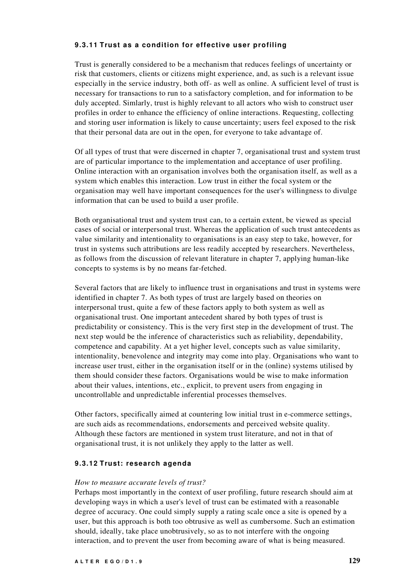# **9.3.11 Trust as a condition for effective user profiling**

Trust is generally considered to be a mechanism that reduces feelings of uncertainty or risk that customers, clients or citizens might experience, and, as such is a relevant issue especially in the service industry, both off- as well as online. A sufficient level of trust is necessary for transactions to run to a satisfactory completion, and for information to be duly accepted. Simlarly, trust is highly relevant to all actors who wish to construct user profiles in order to enhance the efficiency of online interactions. Requesting, collecting and storing user information is likely to cause uncertainty; users feel exposed to the risk that their personal data are out in the open, for everyone to take advantage of.

Of all types of trust that were discerned in chapter 7, organisational trust and system trust are of particular importance to the implementation and acceptance of user profiling. Online interaction with an organisation involves both the organisation itself, as well as a system which enables this interaction. Low trust in either the focal system or the organisation may well have important consequences for the user's willingness to divulge information that can be used to build a user profile.

Both organisational trust and system trust can, to a certain extent, be viewed as special cases of social or interpersonal trust. Whereas the application of such trust antecedents as value similarity and intentionality to organisations is an easy step to take, however, for trust in systems such attributions are less readily accepted by researchers. Nevertheless, as follows from the discussion of relevant literature in chapter 7, applying human-like concepts to systems is by no means far-fetched.

Several factors that are likely to influence trust in organisations and trust in systems were identified in chapter 7. As both types of trust are largely based on theories on interpersonal trust, quite a few of these factors apply to both system as well as organisational trust. One important antecedent shared by both types of trust is predictability or consistency. This is the very first step in the development of trust. The next step would be the inference of characteristics such as reliability, dependability, competence and capability. At a yet higher level, concepts such as value similarity, intentionality, benevolence and integrity may come into play. Organisations who want to increase user trust, either in the organisation itself or in the (online) systems utilised by them should consider these factors. Organisations would be wise to make information about their values, intentions, etc., explicit, to prevent users from engaging in uncontrollable and unpredictable inferential processes themselves.

Other factors, specifically aimed at countering low initial trust in e-commerce settings, are such aids as recommendations, endorsements and perceived website quality. Although these factors are mentioned in system trust literature, and not in that of organisational trust, it is not unlikely they apply to the latter as well.

## **9.3.12 Trust: research agenda**

#### *How to measure accurate levels of trust?*

Perhaps most importantly in the context of user profiling, future research should aim at developing ways in which a user's level of trust can be estimated with a reasonable degree of accuracy. One could simply supply a rating scale once a site is opened by a user, but this approach is both too obtrusive as well as cumbersome. Such an estimation should, ideally, take place unobtrusively, so as to not interfere with the ongoing interaction, and to prevent the user from becoming aware of what is being measured.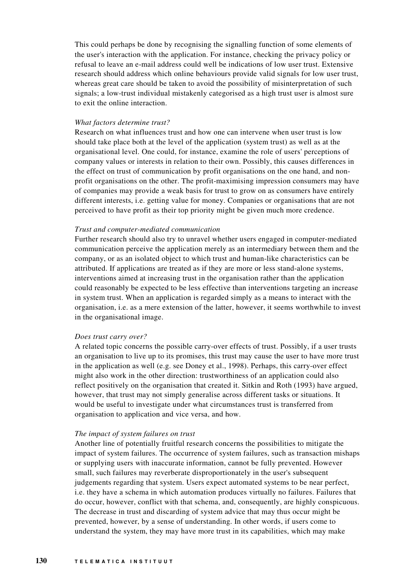This could perhaps be done by recognising the signalling function of some elements of the user's interaction with the application. For instance, checking the privacy policy or refusal to leave an e-mail address could well be indications of low user trust. Extensive research should address which online behaviours provide valid signals for low user trust, whereas great care should be taken to avoid the possibility of misinterpretation of such signals; a low-trust individual mistakenly categorised as a high trust user is almost sure to exit the online interaction.

#### *What factors determine trust?*

Research on what influences trust and how one can intervene when user trust is low should take place both at the level of the application (system trust) as well as at the organisational level. One could, for instance, examine the role of users'perceptions of company values or interests in relation to their own. Possibly, this causes differences in the effect on trust of communication by profit organisations on the one hand, and nonprofit organisations on the other. The profit-maximising impression consumers may have of companies may provide a weak basis for trust to grow on as consumers have entirely different interests, i.e. getting value for money. Companies or organisations that are not perceived to have profit as their top priority might be given much more credence.

#### *Trust and computer-mediated communication*

Further research should also try to unravel whether users engaged in computer-mediated communication perceive the application merely as an intermediary between them and the company, or as an isolated object to which trust and human-like characteristics can be attributed. If applications are treated as if they are more or less stand-alone systems, interventions aimed at increasing trust in the organisation rather than the application could reasonably be expected to be less effective than interventions targeting an increase in system trust. When an application is regarded simply as a means to interact with the organisation, i.e. as a mere extension of the latter, however, it seems worthwhile to invest in the organisational image.

#### *Does trust carry over?*

A related topic concerns the possible carry-over effects of trust. Possibly, if a user trusts an organisation to live up to its promises, this trust may cause the user to have more trust in the application as well (e.g. see Doney et al., 1998). Perhaps, this carry-over effect might also work in the other direction: trustworthiness of an application could also reflect positively on the organisation that created it. Sitkin and Roth (1993) have argued, however, that trust may not simply generalise across different tasks or situations. It would be useful to investigate under what circumstances trust is transferred from organisation to application and vice versa, and how.

#### *The impact of system failures on trust*

Another line of potentially fruitful research concerns the possibilities to mitigate the impact of system failures. The occurrence of system failures, such as transaction mishaps or supplying users with inaccurate information, cannot be fully prevented. However small, such failures may reverberate disproportionately in the user's subsequent judgements regarding that system. Users expect automated systems to be near perfect, i.e. they have a schema in which automation produces virtually no failures. Failures that do occur, however, conflict with that schema, and, consequently, are highly conspicuous. The decrease in trust and discarding of system advice that may thus occur might be prevented, however, by a sense of understanding. In other words, if users come to understand the system, they may have more trust in its capabilities, which may make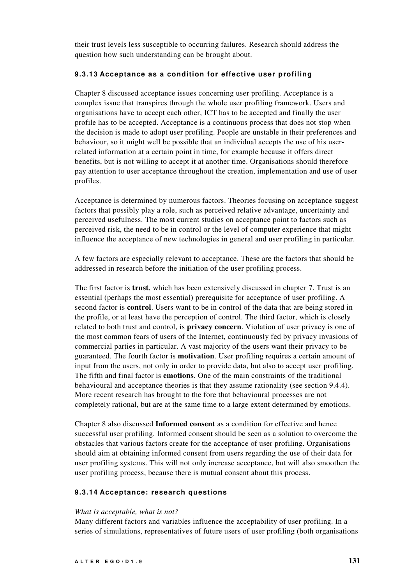their trust levels less susceptible to occurring failures. Research should address the question how such understanding can be brought about.

### **9.3.13 Acceptance as a condition for effective user profiling**

Chapter 8 discussed acceptance issues concerning user profiling. Acceptance is a complex issue that transpires through the whole user profiling framework. Users and organisations have to accept each other, ICT has to be accepted and finally the user profile has to be accepted. Acceptance is a continuous process that does not stop when the decision is made to adopt user profiling. People are unstable in their preferences and behaviour, so it might well be possible that an individual accepts the use of his userrelated information at a certain point in time, for example because it offers direct benefits, but is not willing to accept it at another time. Organisations should therefore pay attention to user acceptance throughout the creation, implementation and use of user profiles.

Acceptance is determined by numerous factors. Theories focusing on acceptance suggest factors that possibly play a role, such as perceived relative advantage, uncertainty and perceived usefulness. The most current studies on acceptance point to factors such as perceived risk, the need to be in control or the level of computer experience that might influence the acceptance of new technologies in general and user profiling in particular.

A few factors are especially relevant to acceptance. These are the factors that should be addressed in research before the initiation of the user profiling process.

The first factor is **trust**, which has been extensively discussed in chapter 7. Trust is an essential (perhaps the most essential) prerequisite for acceptance of user profiling. A second factor is **control**. Users want to be in control of the data that are being stored in the profile, or at least have the perception of control. The third factor, which is closely related to both trust and control, is **privacy concern**. Violation of user privacy is one of the most common fears of users of the Internet, continuously fed by privacy invasions of commercial parties in particular. A vast majority of the users want their privacy to be guaranteed. The fourth factor is **motivation**. User profiling requires a certain amount of input from the users, not only in order to provide data, but also to accept user profiling. The fifth and final factor is **emotions**. One of the main constraints of the traditional behavioural and acceptance theories is that they assume rationality (see section 9.4.4). More recent research has brought to the fore that behavioural processes are not completely rational, but are at the same time to a large extent determined by emotions.

Chapter 8 also discussed **Informed consent** as a condition for effective and hence successful user profiling. Informed consent should be seen as a solution to overcome the obstacles that various factors create for the acceptance of user profiling. Organisations should aim at obtaining informed consent from users regarding the use of their data for user profiling systems. This will not only increase acceptance, but will also smoothen the user profiling process, because there is mutual consent about this process.

## **9.3.14 Acceptance: research questions**

## *What is acceptable, what is not?*

Many different factors and variables influence the acceptability of user profiling. In a series of simulations, representatives of future users of user profiling (both organisations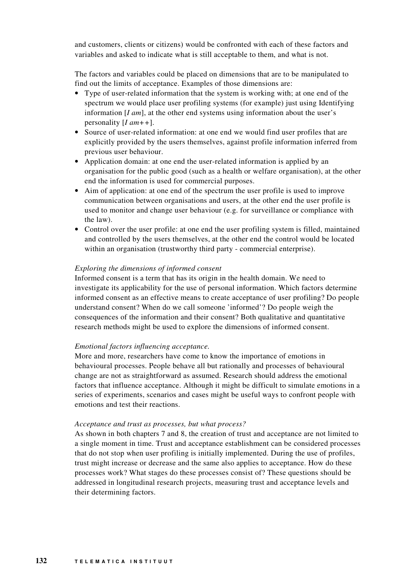and customers, clients or citizens) would be confronted with each of these factors and variables and asked to indicate what is still acceptable to them, and what is not.

The factors and variables could be placed on dimensions that are to be manipulated to find out the limits of acceptance. Examples of those dimensions are:

- Type of user-related information that the system is working with; at one end of the spectrum we would place user profiling systems (for example) just using Identifying information [*I am*], at the other end systems using information about the user's personality [*I am++*].
- Source of user-related information: at one end we would find user profiles that are explicitly provided by the users themselves, against profile information inferred from previous user behaviour.
- Application domain: at one end the user-related information is applied by an organisation for the public good (such as a health or welfare organisation), at the other end the information is used for commercial purposes.
- Aim of application: at one end of the spectrum the user profile is used to improve communication between organisations and users, at the other end the user profile is used to monitor and change user behaviour (e.g. for surveillance or compliance with the law).
- Control over the user profile: at one end the user profiling system is filled, maintained and controlled by the users themselves, at the other end the control would be located within an organisation (trustworthy third party - commercial enterprise).

## *Exploring the dimensions of informed consent*

Informed consent is a term that has its origin in the health domain. We need to investigate its applicability for the use of personal information. Which factors determine informed consent as an effective means to create acceptance of user profiling? Do people understand consent? When do we call someone 'informed'? Do people weigh the consequences of the information and their consent? Both qualitative and quantitative research methods might be used to explore the dimensions of informed consent.

## *Emotional factors influencing acceptance.*

More and more, researchers have come to know the importance of emotions in behavioural processes. People behave all but rationally and processes of behavioural change are not as straightforward as assumed. Research should address the emotional factors that influence acceptance. Although it might be difficult to simulate emotions in a series of experiments, scenarios and cases might be useful ways to confront people with emotions and test their reactions.

#### *Acceptance and trust as processes, but what process?*

As shown in both chapters 7 and 8, the creation of trust and acceptance are not limited to a single moment in time. Trust and acceptance establishment can be considered processes that do not stop when user profiling is initially implemented. During the use of profiles, trust might increase or decrease and the same also applies to acceptance. How do these processes work? What stages do these processes consist of? These questions should be addressed in longitudinal research projects, measuring trust and acceptance levels and their determining factors.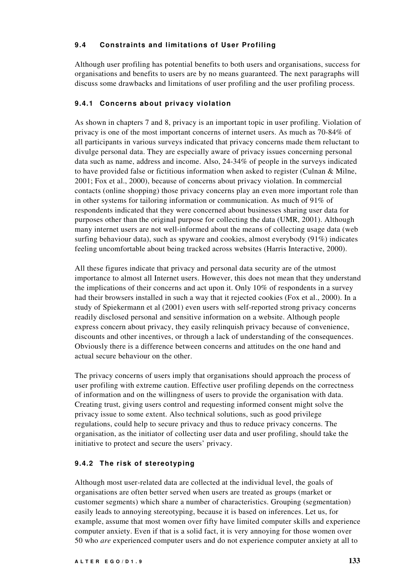# **9.4 Constraints and limitations of User Profiling**

Although user profiling has potential benefits to both users and organisations, success for organisations and benefits to users are by no means guaranteed. The next paragraphs will discuss some drawbacks and limitations of user profiling and the user profiling process.

# **9.4.1 Concerns about privacy violation**

As shown in chapters 7 and 8, privacy is an important topic in user profiling. Violation of privacy is one of the most important concerns of internet users. As much as 70-84% of all participants in various surveys indicated that privacy concerns made them reluctant to divulge personal data. They are especially aware of privacy issues concerning personal data such as name, address and income. Also, 24-34% of people in the surveys indicated to have provided false or fictitious information when asked to register (Culnan & Milne, 2001; Fox et al., 2000), because of concerns about privacy violation. In commercial contacts (online shopping) those privacy concerns play an even more important role than in other systems for tailoring information or communication. As much of 91% of respondents indicated that they were concerned about businesses sharing user data for purposes other than the original purpose for collecting the data (UMR, 2001). Although many internet users are not well-informed about the means of collecting usage data (web surfing behaviour data), such as spyware and cookies, almost everybody (91%) indicates feeling uncomfortable about being tracked across websites (Harris Interactive, 2000).

All these figures indicate that privacy and personal data security are of the utmost importance to almost all Internet users. However, this does not mean that they understand the implications of their concerns and act upon it. Only 10% of respondents in a survey had their browsers installed in such a way that it rejected cookies (Fox et al., 2000). In a study of Spiekermann et al (2001) even users with self-reported strong privacy concerns readily disclosed personal and sensitive information on a website. Although people express concern about privacy, they easily relinquish privacy because of convenience, discounts and other incentives, or through a lack of understanding of the consequences. Obviously there is a difference between concerns and attitudes on the one hand and actual secure behaviour on the other.

The privacy concerns of users imply that organisations should approach the process of user profiling with extreme caution. Effective user profiling depends on the correctness of information and on the willingness of users to provide the organisation with data. Creating trust, giving users control and requesting informed consent might solve the privacy issue to some extent. Also technical solutions, such as good privilege regulations, could help to secure privacy and thus to reduce privacy concerns. The organisation, as the initiator of collecting user data and user profiling, should take the initiative to protect and secure the users' privacy.

# **9.4.2 The risk of stereotyping**

Although most user-related data are collected at the individual level, the goals of organisations are often better served when users are treated as groups (market or customer segments) which share a number of characteristics. Grouping (segmentation) easily leads to annoying stereotyping, because it is based on inferences. Let us, for example, assume that most women over fifty have limited computer skills and experience computer anxiety. Even if that is a solid fact, it is very annoying for those women over 50 who *are* experienced computer users and do not experience computer anxiety at all to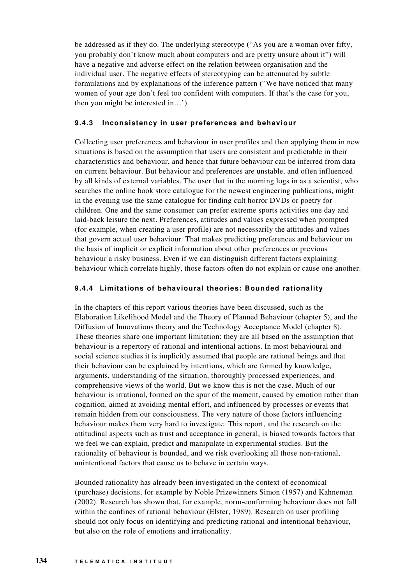be addressed as if they do. The underlying stereotype ("As you are a woman over fifty, you probably don't know much about computers and are pretty unsure about it") will have a negative and adverse effect on the relation between organisation and the individual user. The negative effects of stereotyping can be attenuated by subtle formulations and by explanations of the inference pattern ("We have noticed that many women of your age don't feel too confident with computers. If that's the case for you, then you might be interested in…').

# **9.4.3 Inconsistency in user preferences and behaviour**

Collecting user preferences and behaviour in user profiles and then applying them in new situations is based on the assumption that users are consistent and predictable in their characteristics and behaviour, and hence that future behaviour can be inferred from data on current behaviour. But behaviour and preferences are unstable, and often influenced by all kinds of external variables. The user that in the morning logs in as a scientist, who searches the online book store catalogue for the newest engineering publications, might in the evening use the same catalogue for finding cult horror DVDs or poetry for children. One and the same consumer can prefer extreme sports activities one day and laid-back leisure the next. Preferences, attitudes and values expressed when prompted (for example, when creating a user profile) are not necessarily the attitudes and values that govern actual user behaviour. That makes predicting preferences and behaviour on the basis of implicit or explicit information about other preferences or previous behaviour a risky business. Even if we can distinguish different factors explaining behaviour which correlate highly, those factors often do not explain or cause one another.

## **9.4.4 Limitations of behavioural theories: Bounded rationality**

In the chapters of this report various theories have been discussed, such as the Elaboration Likelihood Model and the Theory of Planned Behaviour (chapter 5), and the Diffusion of Innovations theory and the Technology Acceptance Model (chapter 8). These theories share one important limitation: they are all based on the assumption that behaviour is a repertory of rational and intentional actions. In most behavioural and social science studies it is implicitly assumed that people are rational beings and that their behaviour can be explained by intentions, which are formed by knowledge, arguments, understanding of the situation, thoroughly processed experiences, and comprehensive views of the world. But we know this is not the case. Much of our behaviour is irrational, formed on the spur of the moment, caused by emotion rather than cognition, aimed at avoiding mental effort, and influenced by processes or events that remain hidden from our consciousness. The very nature of those factors influencing behaviour makes them very hard to investigate. This report, and the research on the attitudinal aspects such as trust and acceptance in general, is biased towards factors that we feel we can explain, predict and manipulate in experimental studies. But the rationality of behaviour is bounded, and we risk overlooking all those non-rational, unintentional factors that cause us to behave in certain ways.

Bounded rationality has already been investigated in the context of economical (purchase) decisions, for example by Noble Prizewinners Simon (1957) and Kahneman (2002). Research has shown that, for example, norm-conforming behaviour does not fall within the confines of rational behaviour (Elster, 1989). Research on user profiling should not only focus on identifying and predicting rational and intentional behaviour, but also on the role of emotions and irrationality.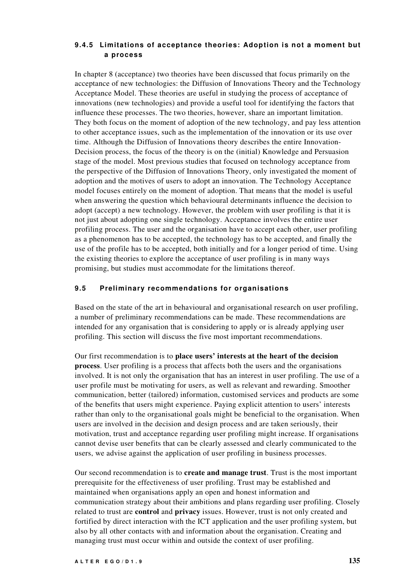# **9.4.5 Limitations of acceptance theories: Adoption is not a moment but a process**

In chapter 8 (acceptance) two theories have been discussed that focus primarily on the acceptance of new technologies: the Diffusion of Innovations Theory and the Technology Acceptance Model. These theories are useful in studying the process of acceptance of innovations (new technologies) and provide a useful tool for identifying the factors that influence these processes. The two theories, however, share an important limitation. They both focus on the moment of adoption of the new technology, and pay less attention to other acceptance issues, such as the implementation of the innovation or its use over time. Although the Diffusion of Innovations theory describes the entire Innovation-Decision process, the focus of the theory is on the (initial) Knowledge and Persuasion stage of the model. Most previous studies that focused on technology acceptance from the perspective of the Diffusion of Innovations Theory, only investigated the moment of adoption and the motives of users to adopt an innovation. The Technology Acceptance model focuses entirely on the moment of adoption. That means that the model is useful when answering the question which behavioural determinants influence the decision to adopt (accept) a new technology. However, the problem with user profiling is that it is not just about adopting one single technology. Acceptance involves the entire user profiling process. The user and the organisation have to accept each other, user profiling as a phenomenon has to be accepted, the technology has to be accepted, and finally the use of the profile has to be accepted, both initially and for a longer period of time. Using the existing theories to explore the acceptance of user profiling is in many ways promising, but studies must accommodate for the limitations thereof.

## **9.5 Preliminary recommendations for organisations**

Based on the state of the art in behavioural and organisational research on user profiling, a number of preliminary recommendations can be made. These recommendations are intended for any organisation that is considering to apply or is already applying user profiling. This section will discuss the five most important recommendations.

Our first recommendation is to **place users' interests at the heart of the decision process**. User profiling is a process that affects both the users and the organisations involved. It is not only the organisation that has an interest in user profiling. The use of a user profile must be motivating for users, as well as relevant and rewarding. Smoother communication, better (tailored) information, customised services and products are some of the benefits that users might experience. Paying explicit attention to users' interests rather than only to the organisational goals might be beneficial to the organisation. When users are involved in the decision and design process and are taken seriously, their motivation, trust and acceptance regarding user profiling might increase. If organisations cannot devise user benefits that can be clearly assessed and clearly communicated to the users, we advise against the application of user profiling in business processes.

Our second recommendation is to **create and manage trust**. Trust is the most important prerequisite for the effectiveness of user profiling. Trust may be established and maintained when organisations apply an open and honest information and communication strategy about their ambitions and plans regarding user profiling. Closely related to trust are **control** and **privacy** issues. However, trust is not only created and fortified by direct interaction with the ICT application and the user profiling system, but also by all other contacts with and information about the organisation. Creating and managing trust must occur within and outside the context of user profiling.